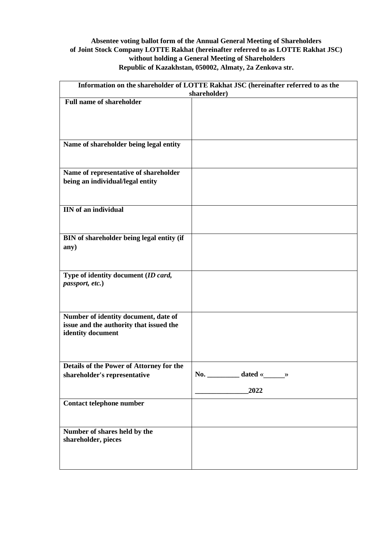## **Absentee voting ballot form of the Annual General Meeting of Shareholders of Joint Stock Company LOTTE Rakhat (hereinafter referred to as LOTTE Rakhat JSC) without holding a General Meeting of Shareholders Republic of Kazakhstan, 050002, Almaty, 2a Zenkova str.**

| Information on the shareholder of LOTTE Rakhat JSC (hereinafter referred to as the |                                           |
|------------------------------------------------------------------------------------|-------------------------------------------|
|                                                                                    | shareholder)                              |
| <b>Full name of shareholder</b>                                                    |                                           |
|                                                                                    |                                           |
|                                                                                    |                                           |
|                                                                                    |                                           |
|                                                                                    |                                           |
| Name of shareholder being legal entity                                             |                                           |
|                                                                                    |                                           |
|                                                                                    |                                           |
|                                                                                    |                                           |
| Name of representative of shareholder                                              |                                           |
| being an individual/legal entity                                                   |                                           |
|                                                                                    |                                           |
|                                                                                    |                                           |
| <b>IIN</b> of an individual                                                        |                                           |
|                                                                                    |                                           |
|                                                                                    |                                           |
|                                                                                    |                                           |
| BIN of shareholder being legal entity (if                                          |                                           |
| any)                                                                               |                                           |
|                                                                                    |                                           |
|                                                                                    |                                           |
|                                                                                    |                                           |
| Type of identity document (ID card,                                                |                                           |
| passport, etc.)                                                                    |                                           |
|                                                                                    |                                           |
|                                                                                    |                                           |
|                                                                                    |                                           |
| Number of identity document, date of                                               |                                           |
| issue and the authority that issued the                                            |                                           |
| identity document                                                                  |                                           |
|                                                                                    |                                           |
|                                                                                    |                                           |
|                                                                                    |                                           |
| Details of the Power of Attorney for the                                           |                                           |
| shareholder's representative                                                       | No. ___________ dated « $\longrightarrow$ |
|                                                                                    |                                           |
|                                                                                    | 2022                                      |
|                                                                                    |                                           |
| <b>Contact telephone number</b>                                                    |                                           |
|                                                                                    |                                           |
|                                                                                    |                                           |
| Number of shares held by the                                                       |                                           |
| shareholder, pieces                                                                |                                           |
|                                                                                    |                                           |
|                                                                                    |                                           |
|                                                                                    |                                           |
|                                                                                    |                                           |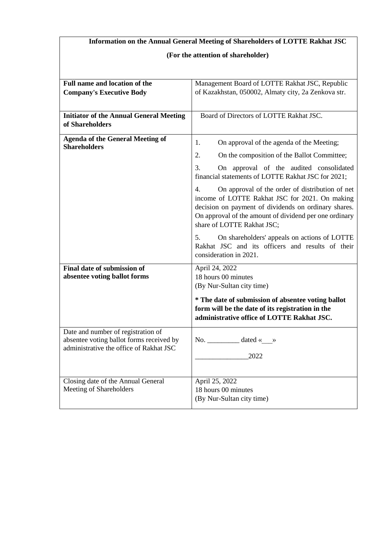# **Information on the Annual General Meeting of Shareholders of LOTTE Rakhat JSC**

# **(For the attention of shareholder)**

| Full name and location of the                                                                                             | Management Board of LOTTE Rakhat JSC, Republic                                                                                                                                                                                                          |  |
|---------------------------------------------------------------------------------------------------------------------------|---------------------------------------------------------------------------------------------------------------------------------------------------------------------------------------------------------------------------------------------------------|--|
| <b>Company's Executive Body</b>                                                                                           | of Kazakhstan, 050002, Almaty city, 2a Zenkova str.                                                                                                                                                                                                     |  |
| <b>Initiator of the Annual General Meeting</b><br>of Shareholders                                                         | Board of Directors of LOTTE Rakhat JSC.                                                                                                                                                                                                                 |  |
| <b>Agenda of the General Meeting of</b><br><b>Shareholders</b>                                                            | 1.<br>On approval of the agenda of the Meeting;                                                                                                                                                                                                         |  |
|                                                                                                                           | 2.<br>On the composition of the Ballot Committee;                                                                                                                                                                                                       |  |
|                                                                                                                           | 3.<br>On approval of the audited consolidated<br>financial statements of LOTTE Rakhat JSC for 2021;                                                                                                                                                     |  |
|                                                                                                                           | 4.<br>On approval of the order of distribution of net<br>income of LOTTE Rakhat JSC for 2021. On making<br>decision on payment of dividends on ordinary shares.<br>On approval of the amount of dividend per one ordinary<br>share of LOTTE Rakhat JSC; |  |
|                                                                                                                           | On shareholders' appeals on actions of LOTTE<br>5.<br>Rakhat JSC and its officers and results of their<br>consideration in 2021.                                                                                                                        |  |
| <b>Final date of submission of</b>                                                                                        | April 24, 2022                                                                                                                                                                                                                                          |  |
| absentee voting ballot forms                                                                                              | 18 hours 00 minutes                                                                                                                                                                                                                                     |  |
|                                                                                                                           | (By Nur-Sultan city time)                                                                                                                                                                                                                               |  |
|                                                                                                                           | * The date of submission of absentee voting ballot<br>form will be the date of its registration in the<br>administrative office of LOTTE Rakhat JSC.                                                                                                    |  |
| Date and number of registration of<br>absentee voting ballot forms received by<br>administrative the office of Rakhat JSC | No. $\_\_\_\_\_\_\$ dated « $\_\_\$<br>2022                                                                                                                                                                                                             |  |
| Closing date of the Annual General<br>Meeting of Shareholders                                                             | April 25, 2022<br>18 hours 00 minutes<br>(By Nur-Sultan city time)                                                                                                                                                                                      |  |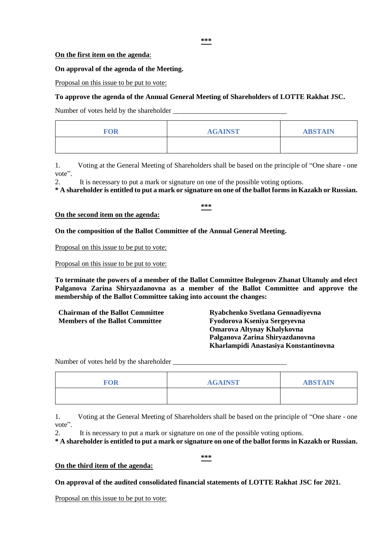#### **On the first item on the agenda**:

#### **On approval of the agenda of the Meeting.**

Proposal on this issue to be put to vote:

#### **To approve the agenda of the Annual General Meeting of Shareholders of LOTTE Rakhat JSC.**

Number of votes held by the shareholder

| <b>FOR</b> | <b>AGAINST</b> | <b>ABSTAIN</b> |
|------------|----------------|----------------|
|            |                |                |

1. Voting at the General Meeting of Shareholders shall be based on the principle of "One share - one vote".

2. It is necessary to put a mark or signature on one of the possible voting options.

**\* A shareholder is entitled to put a mark or signature on one of the ballot forms in Kazakh or Russian.**

**\*\*\***

#### **On the second item on the agenda:**

**On the composition of the Ballot Committee of the Annual General Meeting.**

Proposal on this issue to be put to vote:

Proposal on this issue to be put to vote:

**To terminate the powers of a member of the Ballot Committee Bulegenov Zhanat Ultanuly and elect Palganova Zarina Shiryazdanovna as a member of the Ballot Committee and approve the membership of the Ballot Committee taking into account the changes:**

**Members of the Ballot Committee Fyodorova Kseniya Sergeyevna** 

**Chairman of the Ballot Committee Ryabchenko Svetlana Gennadiyevna Omarova Altynay Khalykovna Palganova Zarina Shiryazdanovna Kharlampidi Anastasiya Konstantinovna** 

Number of votes held by the shareholder \_\_\_\_\_\_\_\_\_\_\_\_\_\_\_\_\_\_\_\_\_\_\_\_\_\_\_\_\_\_\_\_

| FOR | <b>AGAINST</b> | <b>ABSTAIN</b> |
|-----|----------------|----------------|
|     |                |                |

1. Voting at the General Meeting of Shareholders shall be based on the principle of "One share - one vote".

2. It is necessary to put a mark or signature on one of the possible voting options.

**\* A shareholder is entitled to put a mark or signature on one of the ballot forms in Kazakh or Russian.**

**\*\*\***

### **On the third item of the agenda:**

**On approval of the audited consolidated financial statements of LOTTE Rakhat JSC for 2021.**

Proposal on this issue to be put to vote: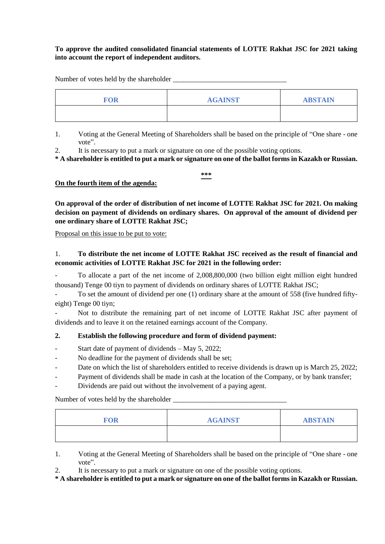#### **To approve the audited consolidated financial statements of LOTTE Rakhat JSC for 2021 taking into account the report of independent auditors.**

Number of votes held by the shareholder

| <b>FOR</b> | <b>AGAINST</b> | <b>ABSTAIN</b> |
|------------|----------------|----------------|
|            |                |                |

- 1. Voting at the General Meeting of Shareholders shall be based on the principle of "One share one vote".
- 2. It is necessary to put a mark or signature on one of the possible voting options.

**\* A shareholder is entitled to put a mark or signature on one of the ballot forms in Kazakh or Russian.**

**\*\*\***

### **On the fourth item of the agenda:**

**On approval of the order of distribution of net income of LOTTE Rakhat JSC for 2021. On making decision on payment of dividends on ordinary shares. On approval of the amount of dividend per one ordinary share of LOTTE Rakhat JSC;**

Proposal on this issue to be put to vote:

# 1. **To distribute the net income of LOTTE Rakhat JSC received as the result of financial and economic activities of LOTTE Rakhat JSC for 2021 in the following order:**

- To allocate a part of the net income of 2,008,800,000 (two billion eight million eight hundred thousand) Tenge 00 tiyn to payment of dividends on ordinary shares of LOTTE Rakhat JSC;

To set the amount of dividend per one (1) ordinary share at the amount of 558 (five hundred fiftyeight) Tenge 00 tiyn;

Not to distribute the remaining part of net income of LOTTE Rakhat JSC after payment of dividends and to leave it on the retained earnings account of the Company.

### **2. Establish the following procedure and form of dividend payment:**

- Start date of payment of dividends May 5, 2022;
- No deadline for the payment of dividends shall be set;
- Date on which the list of shareholders entitled to receive dividends is drawn up is March 25, 2022;
- Payment of dividends shall be made in cash at the location of the Company, or by bank transfer;
- Dividends are paid out without the involvement of a paying agent.

Number of votes held by the shareholder

| <b>FOR</b> | <b>AGAINST</b> | <b>ABSTAIN</b> |
|------------|----------------|----------------|
|            |                |                |

1. Voting at the General Meeting of Shareholders shall be based on the principle of "One share - one vote".

2. It is necessary to put a mark or signature on one of the possible voting options.

**\* A shareholder is entitled to put a mark or signature on one of the ballot forms in Kazakh or Russian.**